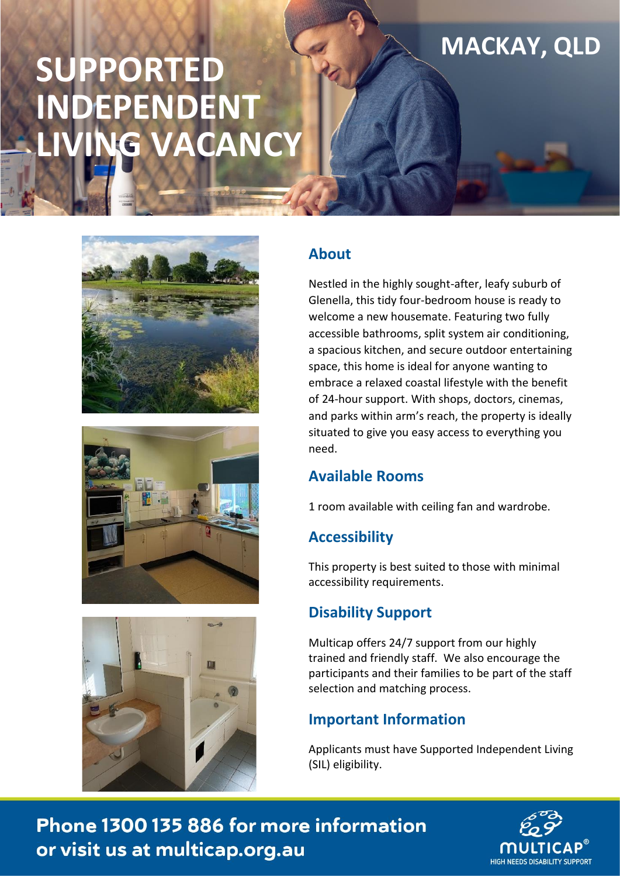# **SUPPORTED INDEPENDENT**  LG VACANCY







# **About**

Nestled in the highly sought-after, leafy suburb of Glenella, this tidy four-bedroom house is ready to welcome a new housemate. Featuring two fully accessible bathrooms, split system air conditioning, a spacious kitchen, and secure outdoor entertaining space, this home is ideal for anyone wanting to embrace a relaxed coastal lifestyle with the benefit of 24-hour support. With shops, doctors, cinemas, and parks within arm's reach, the property is ideally situated to give you easy access to everything you need.

**MACKAY, QLD**

## **Available Rooms**

1 room available with ceiling fan and wardrobe.

# **Accessibility**

This property is best suited to those with minimal accessibility requirements.

## **Disability Support**

Multicap offers 24/7 support from our highly trained and friendly staff. We also encourage the participants and their families to be part of the staff selection and matching process.

# **Important Information**

Applicants must have Supported Independent Living (SIL) eligibility.

Phone 1300 135 886 for more information or visit us at multicap.org.au